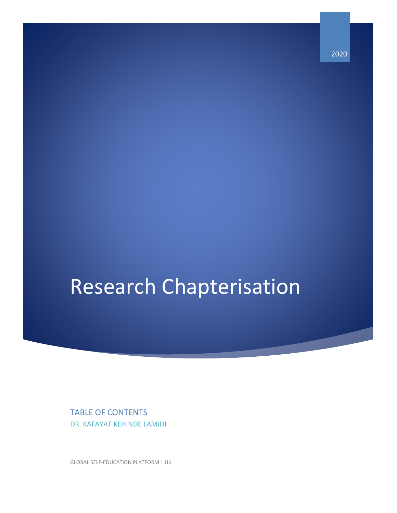Research Chapterisation

TABLE OF CONTENTS DR. KAFAYAT KEHINDE LAMIDI

GLOBAL SELF-EDUCATION PLATFORM | UK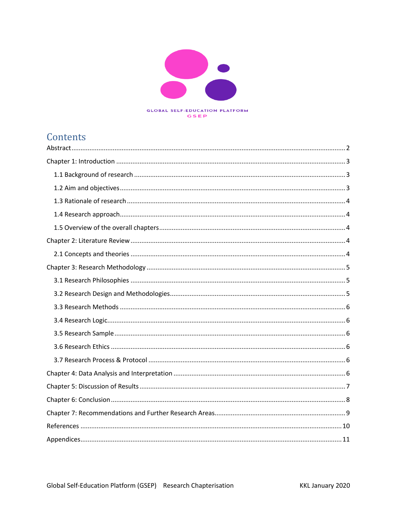

#### **GSEP**

### **Contents**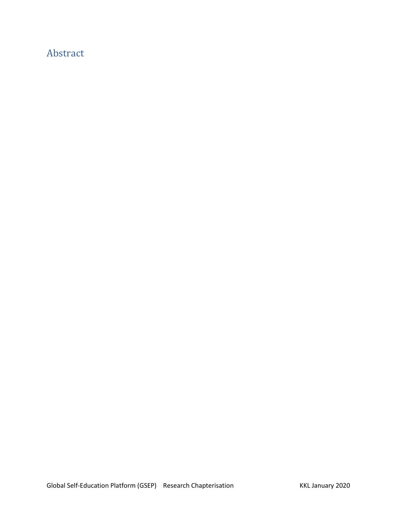### <span id="page-2-0"></span>Abstract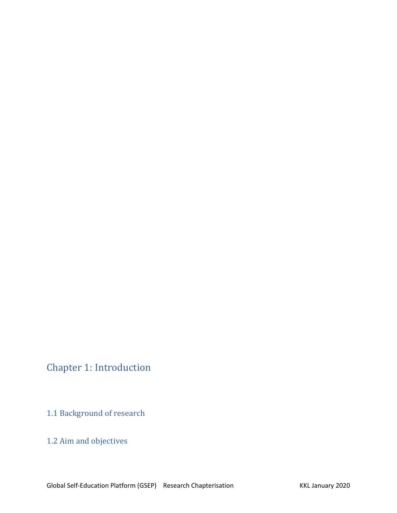# <span id="page-3-0"></span>Chapter 1: Introduction

<span id="page-3-1"></span>1.1 Background of research

#### <span id="page-3-2"></span>1.2 Aim and objectives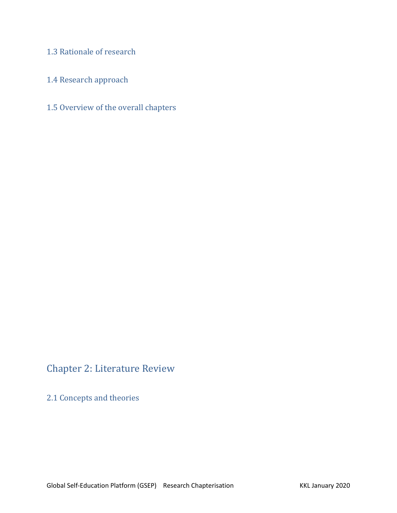<span id="page-4-0"></span>1.3 Rationale of research

<span id="page-4-1"></span>1.4 Research approach

<span id="page-4-2"></span>1.5 Overview of the overall chapters

#### <span id="page-4-3"></span>Chapter 2: Literature Review

<span id="page-4-4"></span>2.1 Concepts and theories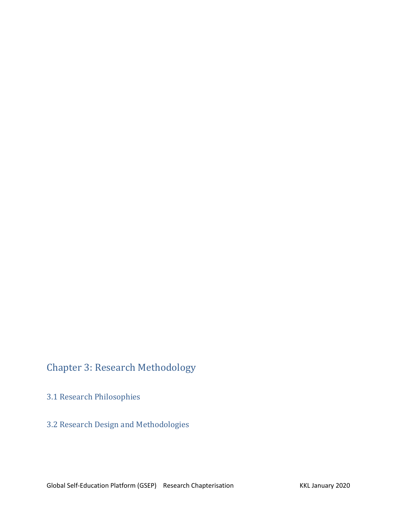# <span id="page-5-0"></span>Chapter 3: Research Methodology

<span id="page-5-1"></span>3.1 Research Philosophies

<span id="page-5-2"></span>3.2 Research Design and Methodologies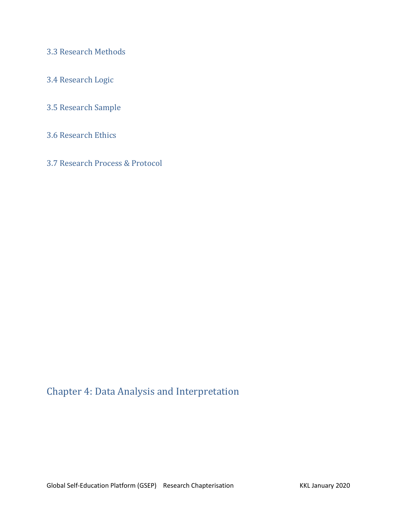<span id="page-6-0"></span>3.3 Research Methods

- <span id="page-6-1"></span>3.4 Research Logic
- <span id="page-6-2"></span>3.5 Research Sample
- <span id="page-6-3"></span>3.6 Research Ethics
- <span id="page-6-4"></span>3.7 Research Process & Protocol

### <span id="page-6-5"></span>Chapter 4: Data Analysis and Interpretation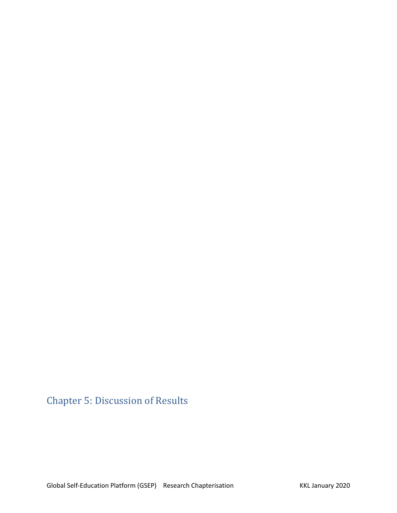<span id="page-7-0"></span>Chapter 5: Discussion of Results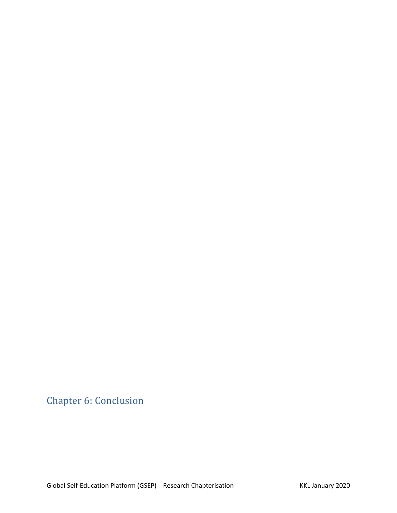<span id="page-8-0"></span>Chapter 6: Conclusion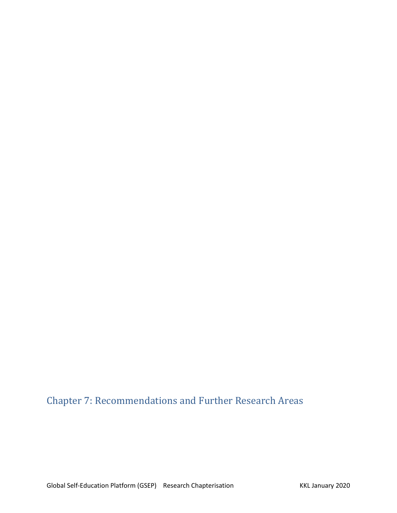# <span id="page-9-0"></span>Chapter 7: Recommendations and Further Research Areas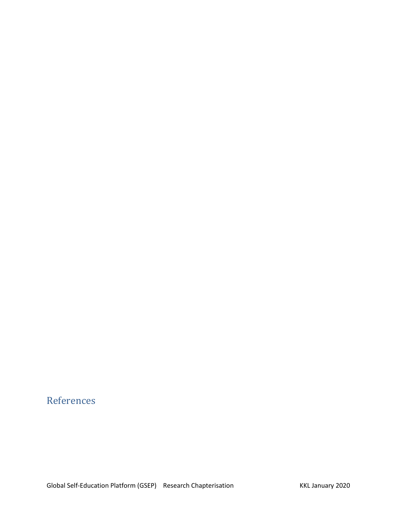# <span id="page-10-0"></span>References